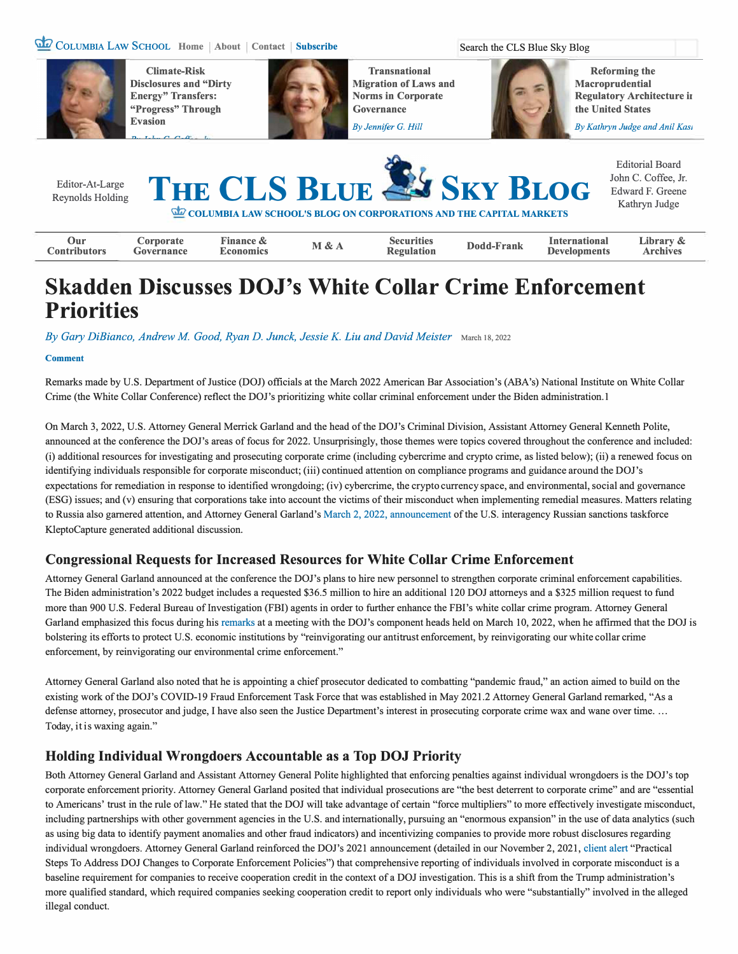#### **COLUMBIA LAW SCHOOL Home About Contact Subscribe Search the CLS Blue Sky Blog**



**Climate-Risk Disclosures and "Dirty Energy" Transfers: "Progress" Through Evasion** 



**Transnational Migration of Laws and Norms in Corporate Governance** 

*By Jennifer G. Hill* 

**Reforming the Macroprudential Regulatory Architecture i1 the United States** 

*By Kathryn Judge and Anil Kasi* 

| Editor-At-Large<br>Reynolds Holding |                         |                               |       |                                        | THE CLS BLUE & SKY BLOG<br>COLUMBIA LAW SCHOOL'S BLOG ON CORPORATIONS AND THE CAPITAL MARKETS |                                             | <b>Editorial Board</b><br>John C. Coffee, Jr.<br>Edward F. Greene<br>Kathryn Judge |
|-------------------------------------|-------------------------|-------------------------------|-------|----------------------------------------|-----------------------------------------------------------------------------------------------|---------------------------------------------|------------------------------------------------------------------------------------|
| Our<br><b>Contributors</b>          | Corporate<br>Governance | Finance &<br><b>Economics</b> | M & A | <b>Securities</b><br><b>Regulation</b> | Dodd-Frank                                                                                    | <b>International</b><br><b>Developments</b> | Library &<br><b>Archives</b>                                                       |

# **Skadden Discusses DOJ's White Collar Crime Enforcement Priorities**

*By Gary DiBianco, Andrew M Good, Ryan D. Junck, Jessie K. Liu and David Meister* March 1s, <sup>2022</sup>

#### **Comment**

Remarks made by U.S. Department of Justice (DOJ) officials at the March 2022 American Bar Association's (ABA's) National Institute on White Collar Crime (the White Collar Conference) reflect the DOJ's prioritizing white collar criminal enforcement under the Biden administration.I

On March 3, 2022, U.S. Attorney General Merrick Garland and the head of the DOJ's Criminal Division, Assistant Attorney General Kenneth Polite, announced at the conference the DOJ's areas of focus for 2022. Unsurprisingly, those themes were topics covered throughout the conference and included: (i) additional resources for investigating and prosecuting corporate crime (including cybercrime and crypto crime, as listed below); (ii) a renewed focus on identifying individuals responsible for corporate misconduct; (iii) continued attention on compliance programs and guidance around the DOJ's expectations for remediation in response to identified wrongdoing; (iv) cybercrime, the crypto currency space, and environmental, social and governance (ESG) issues; and (v) ensuring that corporations take into account the victims of their misconduct when implementing remedial measures. Matters relating to Russia also garnered attention, and Attorney General Garland's March 2, 2022, announcement of the U.S. interagency Russian sanctions taskforce KleptoCapture generated additional discussion.

#### **Congressional Requests for Increased Resources for White Collar Crime Enforcement**

Attorney General Garland announced at the conference the DOJ's plans to hire new personnel to strengthen corporate criminal enforcement capabilities. The Biden administration's 2022 budget includes a requested \$36.5 million to hire an additional 120 DOJ attorneys and a \$325 million request to fund more than 900 U.S. Federal Bureau of Investigation (FBI) agents in order to further enhance the FBI's white collar crime program. Attorney General Garland emphasized this focus during his remarks at a meeting with the DOJ's component heads held on March 10, 2022, when he affirmed that the DOJ is bolstering its efforts to protect U.S. economic institutions by "reinvigorating our antitrust enforcement, by reinvigorating our white collar crime enforcement, by reinvigorating our environmental crime enforcement."

Attorney General Garland also noted that he is appointing a chief prosecutor dedicated to combatting "pandemic fraud," an action aimed to build on the existing work of the DOJ's COVID-19 Fraud Enforcement Task Force that was established in May 2021.2 Attorney General Garland remarked, "As a defense attorney, prosecutor and judge, I have also seen the Justice Department's interest in prosecuting corporate crime wax and wane over time. ... Today, it is waxing again."

#### **Holding Individual Wrongdoers Accountable as a Top DOJ Priority**

Both Attorney General Garland and Assistant Attorney General Polite highlighted that enforcing penalties against individual wrongdoers is the DOJ's top corporate enforcement priority. Attorney General Garland posited that individual prosecutions are "the best deterrent to corporate crime" and are "essential to Americans' trust in the rule of law." He stated that the DOJ will take advantage of certain "force multipliers" to more effectively investigate misconduct, including partnerships with other government agencies in the U.S. and internationally, pursuing an "enormous expansion" in the use of data analytics (such as using big data to identify payment anomalies and other fraud indicators) and incentivizing companies to provide more robust disclosures regarding individual wrongdoers. Attorney General Garland reinforced the DOJ's 2021 announcement ( detailed in our November 2, 2021, client alert "Practical Steps To Address DOJ Changes to Corporate Enforcement Policies") that comprehensive reporting of individuals involved in corporate misconduct is a baseline requirement for companies to receive cooperation credit in the context of a DOJ investigation. This is a shift from the Trump administration's more qualified standard, which required companies seeking cooperation credit to report only individuals who were "substantially" involved in the alleged illegal conduct.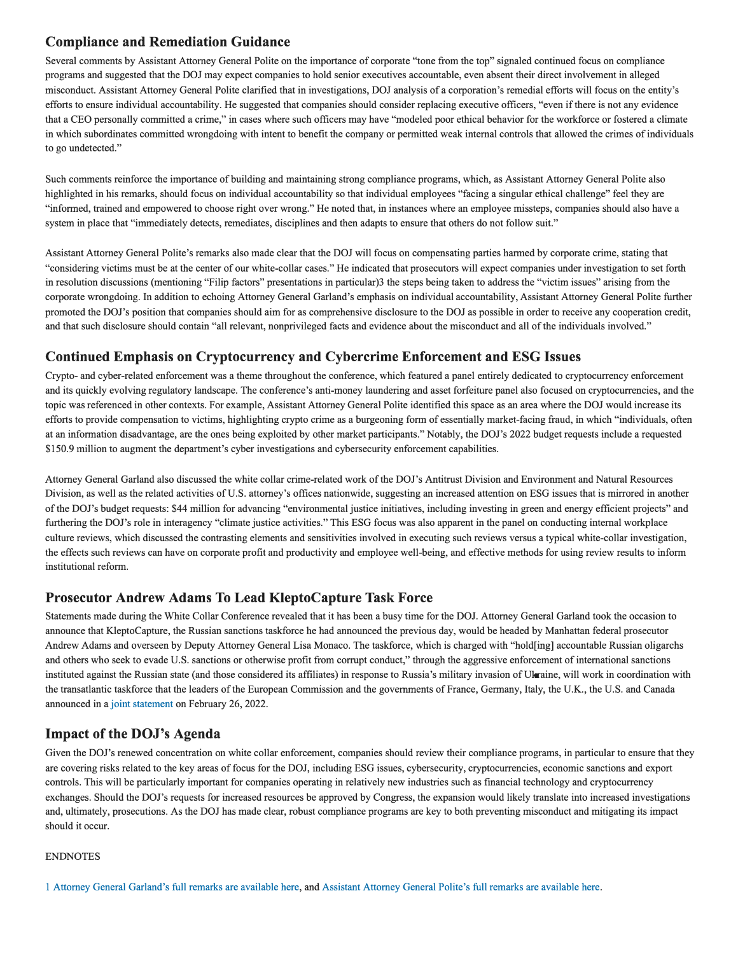#### **Compliance and Remediation Guidance**

Several comments by Assistant Attorney General Polite on the importance of corporate "tone from the top" signaled continued focus on compliance programs and suggested that the DOJ may expect companies to hold senior executives accountable, even absent their direct involvement in alleged misconduct. Assistant Attorney General Polite clarified that in investigations, DOJ analysis of a corporation's remedial efforts will focus on the entity's efforts to ensure individual accountability. He suggested that companies should consider replacing executive officers, "even if there is not any evidence that a CEO personally committed a crime," in cases where such officers may have "modeled poor ethical behavior for the workforce or fostered a climate in which subordinates committed wrongdoing with intent to benefit the company or permitted weak internal controls that allowed the crimes of individuals to go undetected."

Such comments reinforce the importance of building and maintaining strong compliance programs, which, as Assistant Attorney General Polite also highlighted in his remarks, should focus on individual accountability so that individual employees "facing a singular ethical challenge" feel they are "informed, trained and empowered to choose right over wrong." He noted that, in instances where an employee missteps, companies should also have a system in place that "immediately detects, remediates, disciplines and then adapts to ensure that others do not follow suit."

Assistant Attorney General Polite's remarks also made clear that the DOJ will focus on compensating parties harmed by corporate crime, stating that "considering victims must be at the center of our white-collar cases." He indicated that prosecutors will expect companies under investigation to set forth in resolution discussions (mentioning "Filip factors" presentations in particular)3 the steps being taken to address the "victim issues" arising from the corporate wrongdoing. In addition to echoing Attorney General Garland's emphasis on individual accountability, Assistant Attorney General Polite further promoted the DOJ's position that companies should aim for as comprehensive disclosure to the DOJ as possible in order to receive any cooperation credit, and that such disclosure should contain "all relevant, nonprivileged facts and evidence about the misconduct and all of the individuals involved."

## **Continued Emphasis on Cryptocurrency and Cybercrime Enforcement and ESG Issues**

Crypto- and cyber-related enforcement was a theme throughout the conference, which featured a panel entirely dedicated to cryptocurrency enforcement and its quickly evolving regulatory landscape. The conference's anti-money laundering and asset forfeiture panel also focused on cryptocurrencies, and the topic was referenced in other contexts. For example, Assistant Attorney General Polite identified this space as an area where the DOJ would increase its efforts to provide compensation to victims, highlighting crypto crime as a burgeoning form of essentially market-facing fraud, in which "individuals, often at an information disadvantage, are the ones being exploited by other market participants." Notably, the DOJ's 2022 budget requests include a requested \$150.9 million to augment the department's cyber investigations and cybersecurity enforcement capabilities.

Attorney General Garland also discussed the white collar crime-related work of the DOJ's Antitrust Division and Environment and Natural Resources Division, as well as the related activities of U.S. attorney's offices nationwide, suggesting an increased attention on ESG issues that is mirrored in another of the DOJ's budget requests: \$44 million for advancing "environmental justice initiatives, including investing in green and energy efficient projects" and furthering the DOJ's role in interagency "climate justice activities." This ESG focus was also apparent in the panel on conducting internal workplace culture reviews, which discussed the contrasting elements and sensitivities involved in executing such reviews versus a typical white-collar investigation, the effects such reviews can have on corporate profit and productivity and employee well-being, and effective methods for using review results to inform institutional reform.

#### **Prosecutor Andrew Adams To Lead KleptoCapture Task Force**

Statements made during the White Collar Conference revealed that it has been a busy time for the DOJ. Attorney General Garland took the occasion to announce that KleptoCapture, the Russian sanctions taskforce he had announced the previous day, would be headed by Manhattan federal prosecutor Andrew Adams and overseen by Deputy Attorney General Lisa Monaco. The taskforce, which is charged with "hold[ing] accountable Russian oligarchs and others who seek to evade U.S. sanctions or otherwise profit from corrupt conduct," through the aggressive enforcement of international sanctions instituted against the Russian state (and those considered its affiliates) in response to Russia's military invasion of Ukraine, will work in coordination with the transatlantic taskforce that the leaders of the European Commission and the governments of France, Germany, Italy, the U.K., the U.S. and Canada announced in a joint statement on February 26, 2022.

## **Impact of the DOJ's Agenda**

Given the DOJ's renewed concentration on white collar enforcement, companies should review their compliance programs, in particular to ensure that they are covering risks related to the key areas of focus for the DOJ, including ESG issues, cybersecurity, cryptocurrencies, economic sanctions and export controls. This will be particularly important for companies operating in relatively new industries such as financial technology and cryptocurrency exchanges. Should the DOJ's requests for increased resources be approved by Congress, the expansion would likely translate into increased investigations and, ultimately, prosecutions. As the DOJ has made clear, robust compliance programs are key to both preventing misconduct and mitigating its impact should it occur.

#### ENDNOTES

<sup>1</sup> Attorney General Garland's full remarks are available here, and Assistant Attorney General Polite's full remarks are available here.